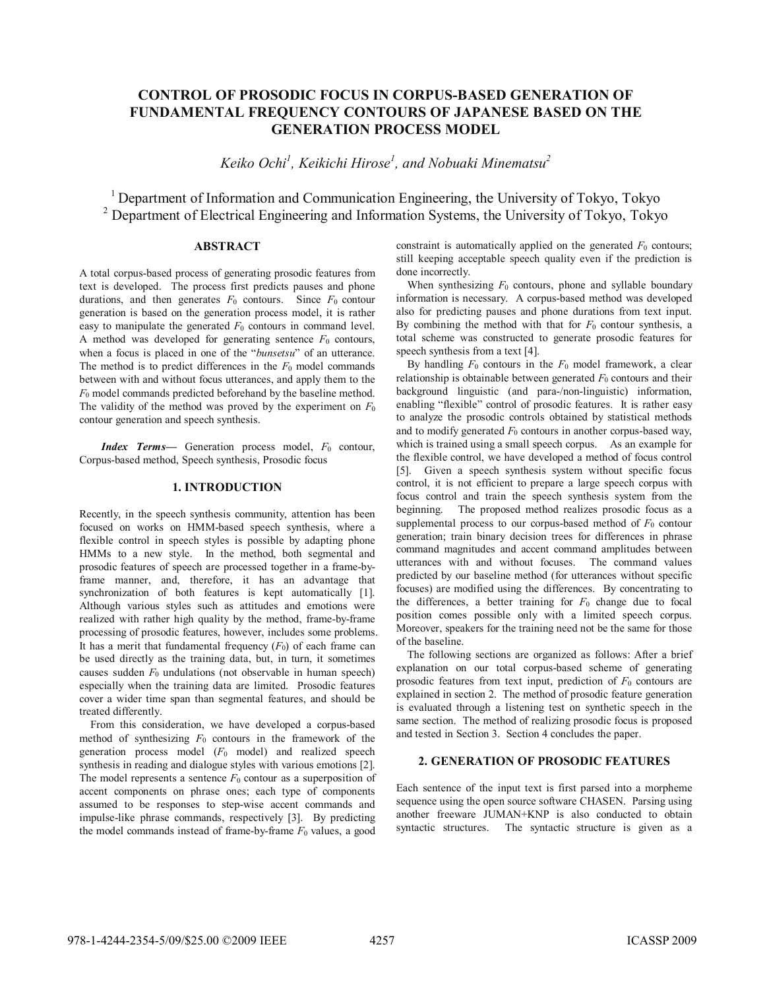# **CONTROL OF PROSODIC FOCUS IN CORPUS-BASED GENERATION OF FUNDAMENTAL FREQUENCY CONTOURS OF JAPANESE BASED ON THE GENERATION PROCESS MODEL**

*Keiko Ochi<sup>1</sup> , Keikichi Hirose<sup>1</sup> , and Nobuaki Minematsu2*

<sup>1</sup> Department of Information and Communication Engineering, the University of Tokyo, Tokyo <sup>2</sup> Department of Electrical Engineering and Information Systems, the University of Tokyo, Tokyo

# **ABSTRACT**

A total corpus-based process of generating prosodic features from text is developed. The process first predicts pauses and phone durations, and then generates  $F_0$  contours. Since  $F_0$  contour generation is based on the generation process model, it is rather easy to manipulate the generated  $F_0$  contours in command level. A method was developed for generating sentence  $F_0$  contours, when a focus is placed in one of the "*bunsetsu*" of an utterance. The method is to predict differences in the  $F_0$  model commands between with and without focus utterances, and apply them to the *F*<sup>0</sup> model commands predicted beforehand by the baseline method. The validity of the method was proved by the experiment on *F*<sup>0</sup> contour generation and speech synthesis.

*Index Terms*— Generation process model,  $F_0$  contour, Corpus-based method, Speech synthesis, Prosodic focus

## **1. INTRODUCTION**

Recently, in the speech synthesis community, attention has been focused on works on HMM-based speech synthesis, where a flexible control in speech styles is possible by adapting phone HMMs to a new style. In the method, both segmental and prosodic features of speech are processed together in a frame-byframe manner, and, therefore, it has an advantage that synchronization of both features is kept automatically [1]. Although various styles such as attitudes and emotions were realized with rather high quality by the method, frame-by-frame processing of prosodic features, however, includes some problems. It has a merit that fundamental frequency  $(F_0)$  of each frame can be used directly as the training data, but, in turn, it sometimes causes sudden  $F_0$  undulations (not observable in human speech) especially when the training data are limited. Prosodic features cover a wider time span than segmental features, and should be treated differently.

From this consideration, we have developed a corpus-based method of synthesizing  $F_0$  contours in the framework of the generation process model  $(F_0 \text{ model})$  and realized speech synthesis in reading and dialogue styles with various emotions [2]. The model represents a sentence  $F_0$  contour as a superposition of accent components on phrase ones; each type of components assumed to be responses to step-wise accent commands and impulse-like phrase commands, respectively [3]. By predicting the model commands instead of frame-by-frame *F*<sup>0</sup> values, a good constraint is automatically applied on the generated  $F_0$  contours; still keeping acceptable speech quality even if the prediction is done incorrectly.

When synthesizing  $F_0$  contours, phone and syllable boundary information is necessary. A corpus-based method was developed also for predicting pauses and phone durations from text input. By combining the method with that for  $F_0$  contour synthesis, a total scheme was constructed to generate prosodic features for speech synthesis from a text [4].

By handling  $F_0$  contours in the  $F_0$  model framework, a clear relationship is obtainable between generated  $F_0$  contours and their background linguistic (and para-/non-linguistic) information, enabling "flexible" control of prosodic features. It is rather easy to analyze the prosodic controls obtained by statistical methods and to modify generated  $F_0$  contours in another corpus-based way, which is trained using a small speech corpus. As an example for the flexible control, we have developed a method of focus control [5]. Given a speech synthesis system without specific focus control, it is not efficient to prepare a large speech corpus with focus control and train the speech synthesis system from the beginning. The proposed method realizes prosodic focus as a supplemental process to our corpus-based method of  $F_0$  contour generation; train binary decision trees for differences in phrase command magnitudes and accent command amplitudes between utterances with and without focuses. The command values predicted by our baseline method (for utterances without specific focuses) are modified using the differences. By concentrating to the differences, a better training for  $F_0$  change due to focal position comes possible only with a limited speech corpus. Moreover, speakers for the training need not be the same for those of the baseline.

The following sections are organized as follows: After a brief explanation on our total corpus-based scheme of generating prosodic features from text input, prediction of  $F_0$  contours are explained in section 2. The method of prosodic feature generation is evaluated through a listening test on synthetic speech in the same section. The method of realizing prosodic focus is proposed and tested in Section 3. Section 4 concludes the paper.

#### **2. GENERATION OF PROSODIC FEATURES**

Each sentence of the input text is first parsed into a morpheme sequence using the open source software CHASEN. Parsing using another freeware JUMAN+KNP is also conducted to obtain syntactic structures. The syntactic structure is given as a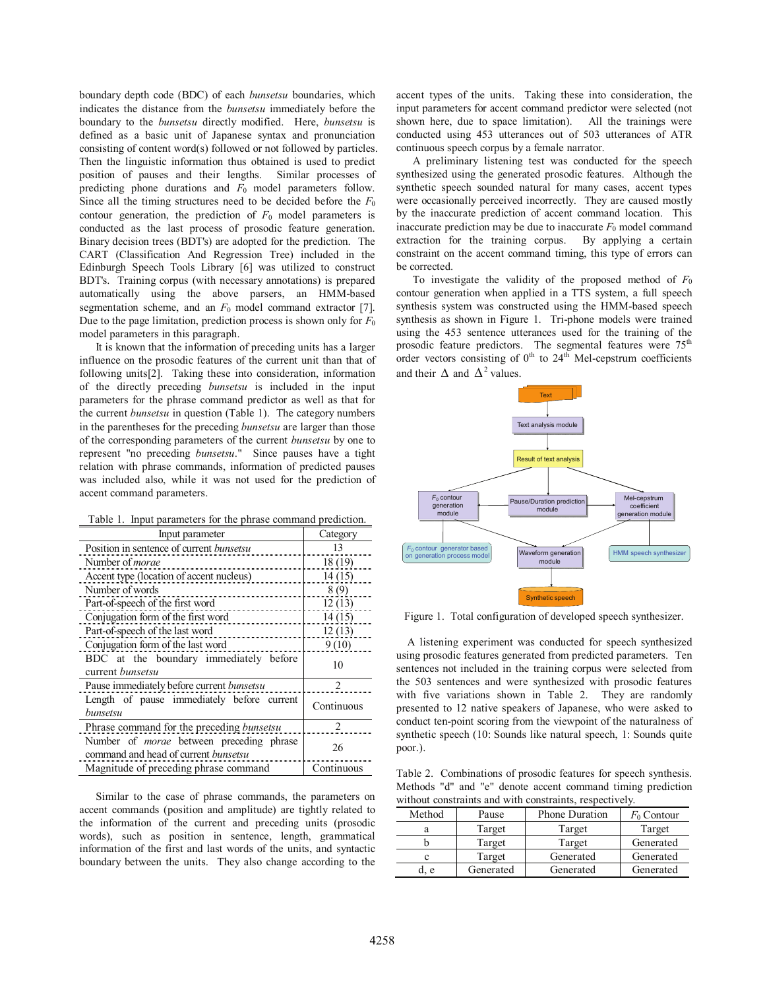boundary depth code (BDC) of each *bunsetsu* boundaries, which indicates the distance from the *bunsetsu* immediately before the boundary to the *bunsetsu* directly modified. Here, *bunsetsu* is defined as a basic unit of Japanese syntax and pronunciation consisting of content word(s) followed or not followed by particles. Then the linguistic information thus obtained is used to predict position of pauses and their lengths. Similar processes of predicting phone durations and *F*<sup>0</sup> model parameters follow. Since all the timing structures need to be decided before the *F*<sup>0</sup> contour generation, the prediction of  $F_0$  model parameters is conducted as the last process of prosodic feature generation. Binary decision trees (BDT's) are adopted for the prediction. The CART (Classification And Regression Tree) included in the Edinburgh Speech Tools Library [6] was utilized to construct BDT's. Training corpus (with necessary annotations) is prepared automatically using the above parsers, an HMM-based segmentation scheme, and an  $F_0$  model command extractor [7]. Due to the page limitation, prediction process is shown only for  $F_0$ model parameters in this paragraph.

It is known that the information of preceding units has a larger influence on the prosodic features of the current unit than that of following units[2]. Taking these into consideration, information of the directly preceding *bunsetsu* is included in the input parameters for the phrase command predictor as well as that for the current *bunsetsu* in question (Table 1). The category numbers in the parentheses for the preceding *bunsetsu* are larger than those of the corresponding parameters of the current *bunsetsu* by one to represent "no preceding *bunsetsu*." Since pauses have a tight relation with phrase commands, information of predicted pauses was included also, while it was not used for the prediction of accent command parameters.

|  |  |  | Table 1. Input parameters for the phrase command prediction. |  |
|--|--|--|--------------------------------------------------------------|--|
|--|--|--|--------------------------------------------------------------|--|

| Input parameter                                                                                | Category       |
|------------------------------------------------------------------------------------------------|----------------|
| Position in sentence of current <i>bunsetsu</i>                                                | 13             |
| Number of <i>morae</i>                                                                         | 18 (19)        |
| Accent type (location of accent nucleus)                                                       | 14(15)         |
| Number of words                                                                                | 8(9)           |
| Part-of-speech of the first word                                                               | 12(13)         |
| Conjugation form of the first word                                                             | 14(15)         |
| Part-of-speech of the last word                                                                | 12(13)         |
| Conjugation form of the last word                                                              | 9(10)          |
| BDC at the boundary immediately before<br>current <i>bunsetsu</i>                              | 10             |
| Pause immediately before current <i>bunsetsu</i>                                               | 2              |
| Length of pause immediately before current<br>bunsetsu                                         | Continuous     |
| Phrase command for the preceding bunsetsu                                                      | $\mathfrak{D}$ |
| Number of <i>morae</i> between preceding phrase<br>command and head of current <i>bunsetsu</i> | 26             |
| Magnitude of preceding phrase command                                                          | Continuous     |

Similar to the case of phrase commands, the parameters on accent commands (position and amplitude) are tightly related to the information of the current and preceding units (prosodic words), such as position in sentence, length, grammatical information of the first and last words of the units, and syntactic boundary between the units. They also change according to the

accent types of the units. Taking these into consideration, the input parameters for accent command predictor were selected (not shown here, due to space limitation). All the trainings were conducted using 453 utterances out of 503 utterances of ATR continuous speech corpus by a female narrator.

A preliminary listening test was conducted for the speech synthesized using the generated prosodic features. Although the synthetic speech sounded natural for many cases, accent types were occasionally perceived incorrectly. They are caused mostly by the inaccurate prediction of accent command location. This inaccurate prediction may be due to inaccurate  $F_0$  model command extraction for the training corpus. By applying a certain constraint on the accent command timing, this type of errors can be corrected.

To investigate the validity of the proposed method of  $F_0$ contour generation when applied in a TTS system, a full speech synthesis system was constructed using the HMM-based speech synthesis as shown in Figure 1. Tri-phone models were trained using the 453 sentence utterances used for the training of the prosodic feature predictors. The segmental features were  $75<sup>th</sup>$ order vectors consisting of  $0<sup>th</sup>$  to  $24<sup>th</sup>$  Mel-cepstrum coefficients and their  $\Delta$  and  $\Delta^2$  values.



Figure 1. Total configuration of developed speech synthesizer.

A listening experiment was conducted for speech synthesized using prosodic features generated from predicted parameters. Ten sentences not included in the training corpus were selected from the 503 sentences and were synthesized with prosodic features with five variations shown in Table 2. They are randomly presented to 12 native speakers of Japanese, who were asked to conduct ten-point scoring from the viewpoint of the naturalness of synthetic speech (10: Sounds like natural speech, 1: Sounds quite poor.).

Table 2. Combinations of prosodic features for speech synthesis. Methods "d" and "e" denote accent command timing prediction without constraints and with constraints, respectively.

| Method | Pause     | <b>Phone Duration</b> | $F_0$ Contour |
|--------|-----------|-----------------------|---------------|
|        | Target    | Target                | Target        |
|        | Target    | Target                | Generated     |
| с      | Target    | Generated             | Generated     |
| e.     | Generated | Generated             | Generated     |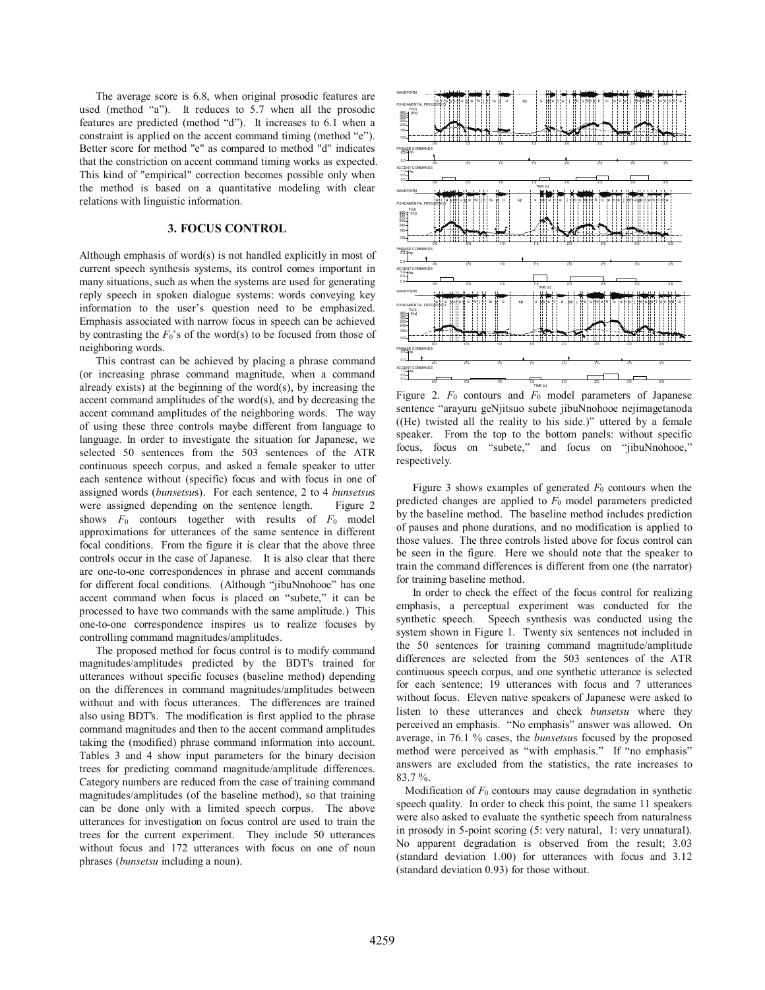The average score is 6.8, when original prosodic features are used (method "a"). It reduces to 5.7 when all the prosodic features are predicted (method "d"). It increases to 6.1 when a constraint is applied on the accent command timing (method "e"). Better score for method "e" as compared to method "d" indicates that the constriction on accent command timing works as expected. This kind of "empirical" correction becomes possible only when the method is based on a quantitative modeling with clear relations with linguistic information.

#### **3. FOCUS CONTROL**

Although emphasis of word(s) is not handled explicitly in most of current speech synthesis systems, its control comes important in many situations, such as when the systems are used for generating reply speech in spoken dialogue systems: words conveying key information to the user's question need to be emphasized. Emphasis associated with narrow focus in speech can be achieved by contrasting the  $F_0$ 's of the word(s) to be focused from those of neighboring words.

This contrast can be achieved by placing a phrase command (or increasing phrase command magnitude, when a command already exists) at the beginning of the word $(s)$ , by increasing the accent command amplitudes of the word(s), and by decreasing the accent command amplitudes of the neighboring words. The way of using these three controls maybe different from language to language. In order to investigate the situation for Japanese, we selected 50 sentences from the 503 sentences of the ATR continuous speech corpus, and asked a female speaker to utter each sentence without (specific) focus and with focus in one of assigned words (*bunsetsu*s). For each sentence, 2 to 4 *bunsetsu*s were assigned depending on the sentence length. Figure 2 shows *F*<sup>0</sup> contours together with results of *F*<sup>0</sup> model approximations for utterances of the same sentence in different focal conditions. From the figure it is clear that the above three controls occur in the case of Japanese. It is also clear that there are one-to-one correspondences in phrase and accent commands for different focal conditions. (Although "jibuNnohooe" has one accent command when focus is placed on "subete," it can be processed to have two commands with the same amplitude.) This one-to-one correspondence inspires us to realize focuses by controlling command magnitudes/amplitudes.

The proposed method for focus control is to modify command magnitudes/amplitudes predicted by the BDT's trained for utterances without specific focuses (baseline method) depending on the differences in command magnitudes/amplitudes between without and with focus utterances. The differences are trained also using BDT's. The modification is first applied to the phrase command magnitudes and then to the accent command amplitudes taking the (modified) phrase command information into account. Tables 3 and 4 show input parameters for the binary decision trees for predicting command magnitude/amplitude differences. Category numbers are reduced from the case of training command magnitudes/amplitudes (of the baseline method), so that training can be done only with a limited speech corpus. The above utterances for investigation on focus control are used to train the trees for the current experiment. They include 50 utterances without focus and 172 utterances with focus on one of noun phrases (*bunsetsu* including a noun).



Figure 2.  $F_0$  contours and  $F_0$  model parameters of Japanese sentence "arayuru geNjitsuo subete jibuNnohooe nejimagetanoda ((He) twisted all the reality to his side.)" uttered by a female speaker. From the top to the bottom panels: without specific focus, focus on "subete," and focus on "jibuNnohooe," respectively.

Figure 3 shows examples of generated  $F_0$  contours when the predicted changes are applied to  $F_0$  model parameters predicted by the baseline method. The baseline method includes prediction of pauses and phone durations, and no modification is applied to those values. The three controls listed above for focus control can be seen in the figure. Here we should note that the speaker to train the command differences is different from one (the narrator) for training baseline method.

In order to check the effect of the focus control for realizing emphasis, a perceptual experiment was conducted for the synthetic speech. Speech synthesis was conducted using the system shown in Figure 1. Twenty six sentences not included in the 50 sentences for training command magnitude/amplitude differences are selected from the 503 sentences of the ATR continuous speech corpus, and one synthetic utterance is selected for each sentence; 19 utterances with focus and 7 utterances without focus. Eleven native speakers of Japanese were asked to listen to these utterances and check *bunsetsu* where they perceived an emphasis. "No emphasis" answer was allowed. On average, in 76.1 % cases, the *bunsetsu*s focused by the proposed method were perceived as "with emphasis." If "no emphasis" answers are excluded from the statistics, the rate increases to 83.7 %.

Modification of *F*<sup>0</sup> contours may cause degradation in synthetic speech quality. In order to check this point, the same 11 speakers were also asked to evaluate the synthetic speech from naturalness in prosody in 5-point scoring (5: very natural, 1: very unnatural). No apparent degradation is observed from the result; 3.03 (standard deviation 1.00) for utterances with focus and 3.12 (standard deviation 0.93) for those without.